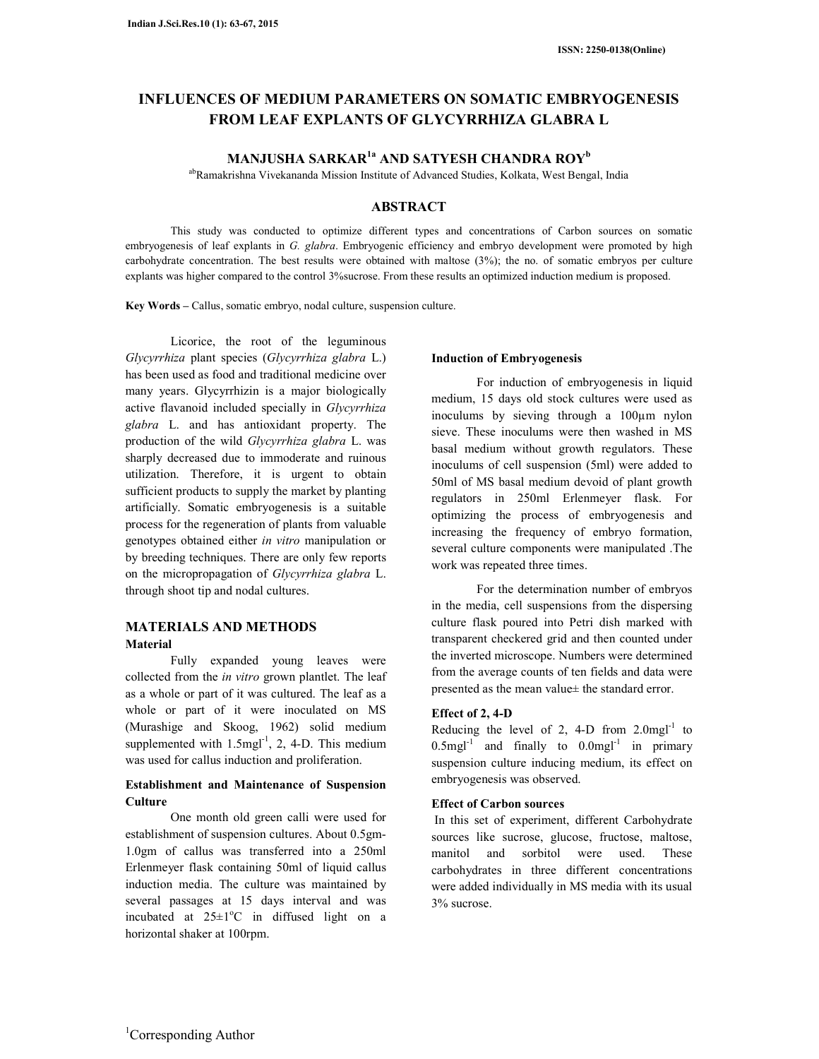# **INFLUENCES OF MEDIUM PARAMETERS ON SOMATIC EMBRYOGENESIS FROM LEAF EXPLANTS OF GLYCYRRHIZA GLABRA L**

# **MANJUSHA SARKAR1a AND SATYESH CHANDRA ROY<sup>b</sup>**

abRamakrishna Vivekananda Mission Institute of Advanced Studies, Kolkata, West Bengal, India

## **ABSTRACT**

This study was conducted to optimize different types and concentrations of Carbon sources on somatic embryogenesis of leaf explants in *G. glabra*. Embryogenic efficiency and embryo development were promoted by high carbohydrate concentration. The best results were obtained with maltose (3%); the no. of somatic embryos per culture explants was higher compared to the control 3%sucrose. From these results an optimized induction medium is proposed.

**Key Words –** Callus, somatic embryo, nodal culture, suspension culture.

Licorice, the root of the leguminous *Glycyrrhiza* plant species (*Glycyrrhiza glabra* L.) has been used as food and traditional medicine over many years. Glycyrrhizin is a major biologically active flavanoid included specially in *Glycyrrhiza glabra* L. and has antioxidant property. The production of the wild *Glycyrrhiza glabra* L. was sharply decreased due to immoderate and ruinous utilization. Therefore, it is urgent to obtain sufficient products to supply the market by planting artificially. Somatic embryogenesis is a suitable process for the regeneration of plants from valuable genotypes obtained either *in vitro* manipulation or by breeding techniques. There are only few reports on the micropropagation of *Glycyrrhiza glabra* L. through shoot tip and nodal cultures.

## **MATERIALS AND METHODS Material**

Fully expanded young leaves were collected from the *in vitro* grown plantlet. The leaf as a whole or part of it was cultured. The leaf as a whole or part of it were inoculated on MS (Murashige and Skoog, 1962) solid medium supplemented with  $1.5$ mgl<sup>-1</sup>, 2, 4-D. This medium was used for callus induction and proliferation.

## **Establishment and Maintenance of Suspension Culture**

One month old green calli were used for establishment of suspension cultures. About 0.5gm-1.0gm of callus was transferred into a 250ml Erlenmeyer flask containing 50ml of liquid callus induction media. The culture was maintained by several passages at 15 days interval and was incubated at  $25\pm1$ <sup>o</sup>C in diffused light on a horizontal shaker at 100rpm.

#### **Induction of Embryogenesis**

For induction of embryogenesis in liquid medium, 15 days old stock cultures were used as inoculums by sieving through a 100µm nylon sieve. These inoculums were then washed in MS basal medium without growth regulators. These inoculums of cell suspension (5ml) were added to 50ml of MS basal medium devoid of plant growth regulators in 250ml Erlenmeyer flask. For optimizing the process of embryogenesis and increasing the frequency of embryo formation, several culture components were manipulated .The work was repeated three times.

For the determination number of embryos in the media, cell suspensions from the dispersing culture flask poured into Petri dish marked with transparent checkered grid and then counted under the inverted microscope. Numbers were determined from the average counts of ten fields and data were presented as the mean value± the standard error.

## **Effect of 2, 4-D**

Reducing the level of 2, 4-D from  $2.0$ mgl<sup>-1</sup> to  $0.5$ mgl<sup>-1</sup> and finally to  $0.0$ mgl<sup>-1</sup> in primary suspension culture inducing medium, its effect on embryogenesis was observed.

## **Effect of Carbon sources**

In this set of experiment, different Carbohydrate sources like sucrose, glucose, fructose, maltose, manitol and sorbitol were used. These carbohydrates in three different concentrations were added individually in MS media with its usual 3% sucrose.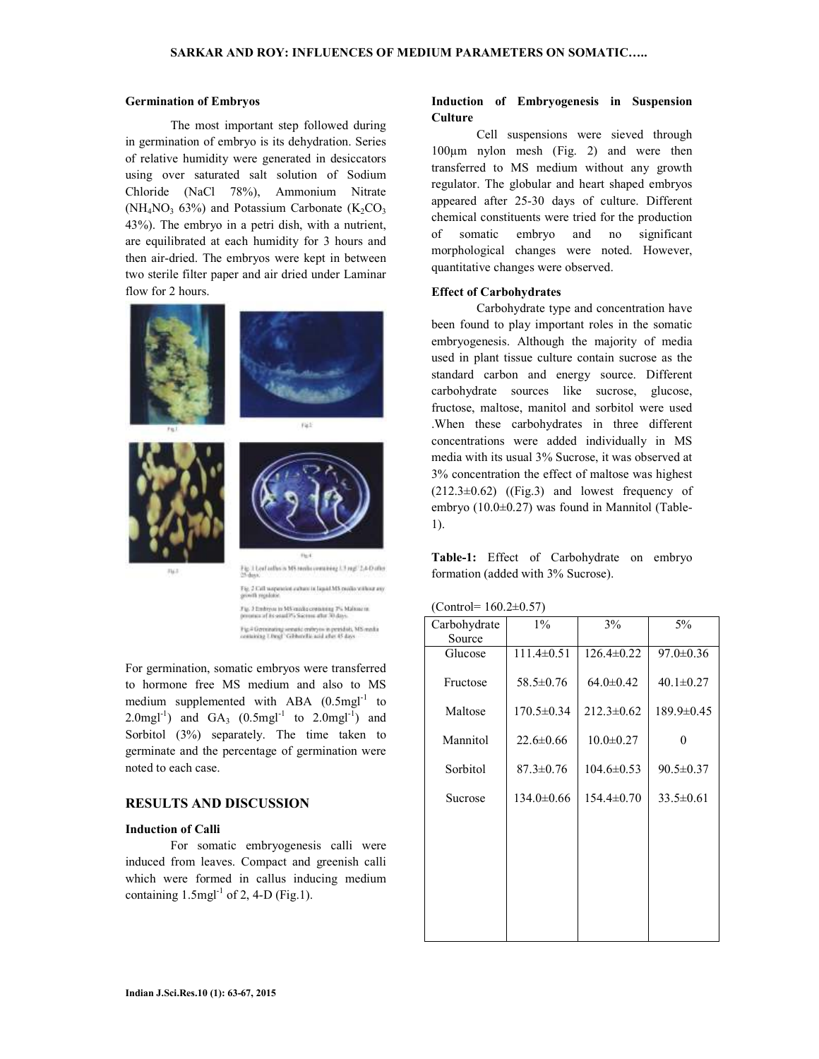#### **Germination of Embryos**

The most important step followed during in germination of embryo is its dehydration. Series of relative humidity were generated in desiccators using over saturated salt solution of Sodium Chloride (NaCl 78%), Ammonium Nitrate ( $NH_4NO_3$  63%) and Potassium Carbonate ( $K_2CO_3$ ) 43%). The embryo in a petri dish, with a nutrient, are equilibrated at each humidity for 3 hours and then air-dried. The embryos were kept in between two sterile filter paper and air dried under Laminar flow for 2 hours.



Fig. 3 Embryon to MS candid containing 7% Malone rates Fig.4 Geronsting senate entry to in peridoti, MS media<br>containing Utragf "Gibbardia and after 45 days

Fig.  $3$  Call nonposition exchant in lagate MS condito without any growth regulator.

For germination, somatic embryos were transferred to hormone free MS medium and also to MS medium supplemented with ABA  $(0.5 \text{mgl}^{-1})$  to 2.0mgl<sup>-1</sup>) and  $GA_3$  (0.5mgl<sup>-1</sup> to 2.0mgl<sup>-1</sup>) and Sorbitol (3%) separately. The time taken to germinate and the percentage of germination were noted to each case.

## **RESULTS AND DISCUSSION**

#### **Induction of Calli**

For somatic embryogenesis calli were induced from leaves. Compact and greenish calli which were formed in callus inducing medium containing  $1.5$ mgl<sup>-1</sup> of 2, 4-D (Fig.1).

## **Induction of Embryogenesis in Suspension Culture**

Cell suspensions were sieved through 100µm nylon mesh (Fig. 2) and were then transferred to MS medium without any growth regulator. The globular and heart shaped embryos appeared after 25-30 days of culture. Different chemical constituents were tried for the production of somatic embryo and no significant morphological changes were noted. However, quantitative changes were observed.

#### **Effect of Carbohydrates**

Carbohydrate type and concentration have been found to play important roles in the somatic embryogenesis. Although the majority of media used in plant tissue culture contain sucrose as the standard carbon and energy source. Different carbohydrate sources like sucrose, glucose, fructose, maltose, manitol and sorbitol were used .When these carbohydrates in three different concentrations were added individually in MS media with its usual 3% Sucrose, it was observed at 3% concentration the effect of maltose was highest  $(212.3\pm0.62)$  ((Fig.3) and lowest frequency of embryo (10.0±0.27) was found in Mannitol (Table-1).

**Table-1:** Effect of Carbohydrate on embryo formation (added with 3% Sucrose).

| Carbohydrate | $1\%$            | 3%               | 5%              |  |
|--------------|------------------|------------------|-----------------|--|
| Source       |                  |                  |                 |  |
| Glucose      | $111.4 \pm 0.51$ | $126.4 \pm 0.22$ | $97.0 \pm 0.36$ |  |
| Fructose     | $58.5 \pm 0.76$  | $64.0 \pm 0.42$  | $40.1 \pm 0.27$ |  |
| Maltose      | $170.5 \pm 0.34$ | $212.3 \pm 0.62$ | 189.9±0.45      |  |
| Mannitol     | $22.6 \pm 0.66$  | $10.0 \pm 0.27$  | 0               |  |
| Sorbitol     | $87.3 \pm 0.76$  | $104.6 \pm 0.53$ | $90.5 \pm 0.37$ |  |
| Sucrose      | $134.0 \pm 0.66$ | $154.4 \pm 0.70$ | $33.5 \pm 0.61$ |  |
|              |                  |                  |                 |  |
|              |                  |                  |                 |  |
|              |                  |                  |                 |  |
|              |                  |                  |                 |  |
|              |                  |                  |                 |  |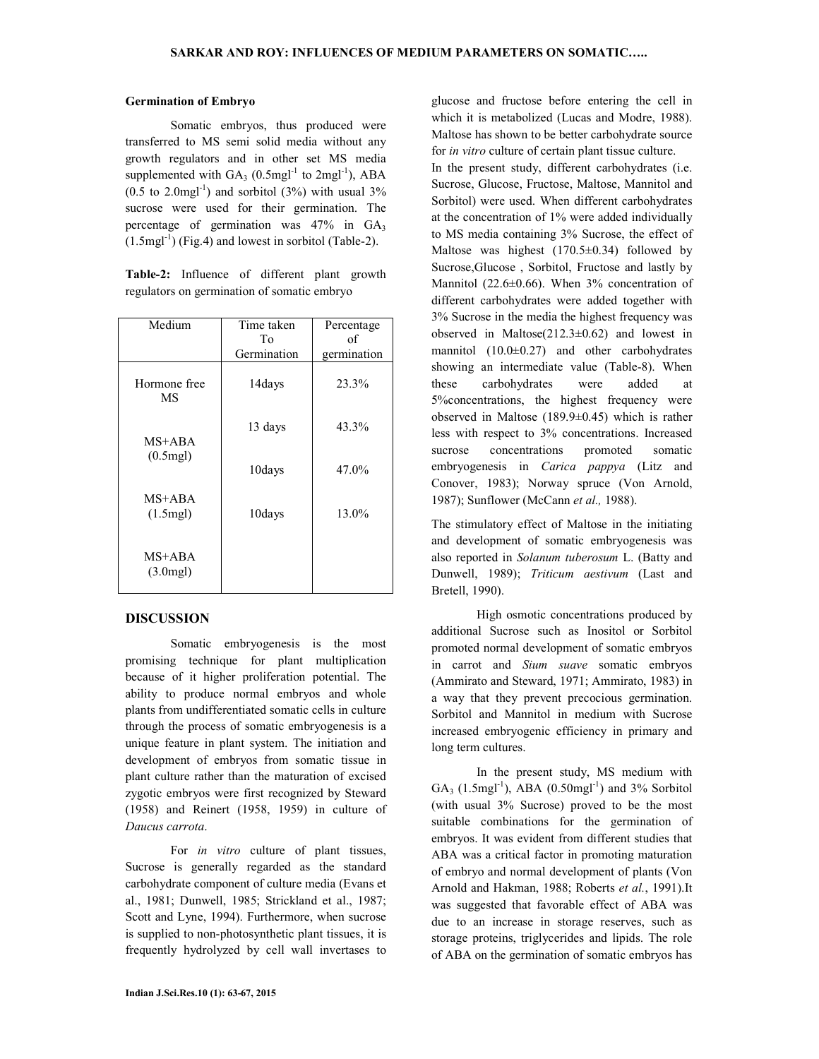#### **Germination of Embryo**

Somatic embryos, thus produced were transferred to MS semi solid media without any growth regulators and in other set MS media supplemented with  $GA_3$  (0.5mgl<sup>-1</sup> to 2mgl<sup>-1</sup>), ABA  $(0.5 \text{ to } 2.0 \text{mgl}^{-1})$  and sorbitol  $(3%)$  with usual  $3%$ sucrose were used for their germination. The percentage of germination was  $47\%$  in  $GA_3$  $(1.5\text{mgl}^{-1})$  (Fig.4) and lowest in sorbitol (Table-2).

**Table-2:** Influence of different plant growth regulators on germination of somatic embryo

| Medium                     | Time taken<br>To<br>Germination | Percentage<br>of<br>germination |
|----------------------------|---------------------------------|---------------------------------|
| Hormone free<br>MS         | 14days                          | 23.3%                           |
| MS+ABA                     | 13 days                         | 43.3%                           |
| $(0.5$ mgl $)$             | 10days                          | 47.0%                           |
| MS+ABA<br>$(1.5$ mgl $)$   | 10days                          | 13.0%                           |
| $MS+ABA$<br>$(3.0$ mgl $)$ |                                 |                                 |

## **DISCUSSION**

Somatic embryogenesis is the most promising technique for plant multiplication because of it higher proliferation potential. The ability to produce normal embryos and whole plants from undifferentiated somatic cells in culture through the process of somatic embryogenesis is a unique feature in plant system. The initiation and development of embryos from somatic tissue in plant culture rather than the maturation of excised zygotic embryos were first recognized by Steward (1958) and Reinert (1958, 1959) in culture of *Daucus carrota*.

For *in vitro* culture of plant tissues, Sucrose is generally regarded as the standard carbohydrate component of culture media (Evans et al., 1981; Dunwell, 1985; Strickland et al., 1987; Scott and Lyne, 1994). Furthermore, when sucrose is supplied to non-photosynthetic plant tissues, it is frequently hydrolyzed by cell wall invertases to

glucose and fructose before entering the cell in which it is metabolized (Lucas and Modre, 1988). Maltose has shown to be better carbohydrate source for *in vitro* culture of certain plant tissue culture. In the present study, different carbohydrates (i.e. Sucrose, Glucose, Fructose, Maltose, Mannitol and Sorbitol) were used. When different carbohydrates at the concentration of 1% were added individually to MS media containing 3% Sucrose, the effect of Maltose was highest  $(170.5\pm0.34)$  followed by Sucrose,Glucose , Sorbitol, Fructose and lastly by Mannitol (22.6±0.66). When 3% concentration of different carbohydrates were added together with 3% Sucrose in the media the highest frequency was observed in Maltose(212.3±0.62) and lowest in mannitol  $(10.0\pm0.27)$  and other carbohydrates showing an intermediate value (Table-8). When these carbohydrates were added at 5%concentrations, the highest frequency were observed in Maltose (189.9±0.45) which is rather less with respect to 3% concentrations. Increased

sucrose concentrations promoted somatic embryogenesis in *Carica pappya* (Litz and Conover, 1983); Norway spruce (Von Arnold, 1987); Sunflower (McCann *et al.,* 1988). The stimulatory effect of Maltose in the initiating

and development of somatic embryogenesis was also reported in *Solanum tuberosum* L. (Batty and Dunwell, 1989); *Triticum aestivum* (Last and Bretell, 1990).

High osmotic concentrations produced by additional Sucrose such as Inositol or Sorbitol promoted normal development of somatic embryos in carrot and *Sium suave* somatic embryos (Ammirato and Steward, 1971; Ammirato, 1983) in a way that they prevent precocious germination. Sorbitol and Mannitol in medium with Sucrose increased embryogenic efficiency in primary and long term cultures.

In the present study, MS medium with  $GA_3$  (1.5mgl<sup>-1</sup>), ABA (0.50mgl<sup>-1</sup>) and 3% Sorbitol (with usual 3% Sucrose) proved to be the most suitable combinations for the germination of embryos. It was evident from different studies that ABA was a critical factor in promoting maturation of embryo and normal development of plants (Von Arnold and Hakman, 1988; Roberts *et al.*, 1991).It was suggested that favorable effect of ABA was due to an increase in storage reserves, such as storage proteins, triglycerides and lipids. The role of ABA on the germination of somatic embryos has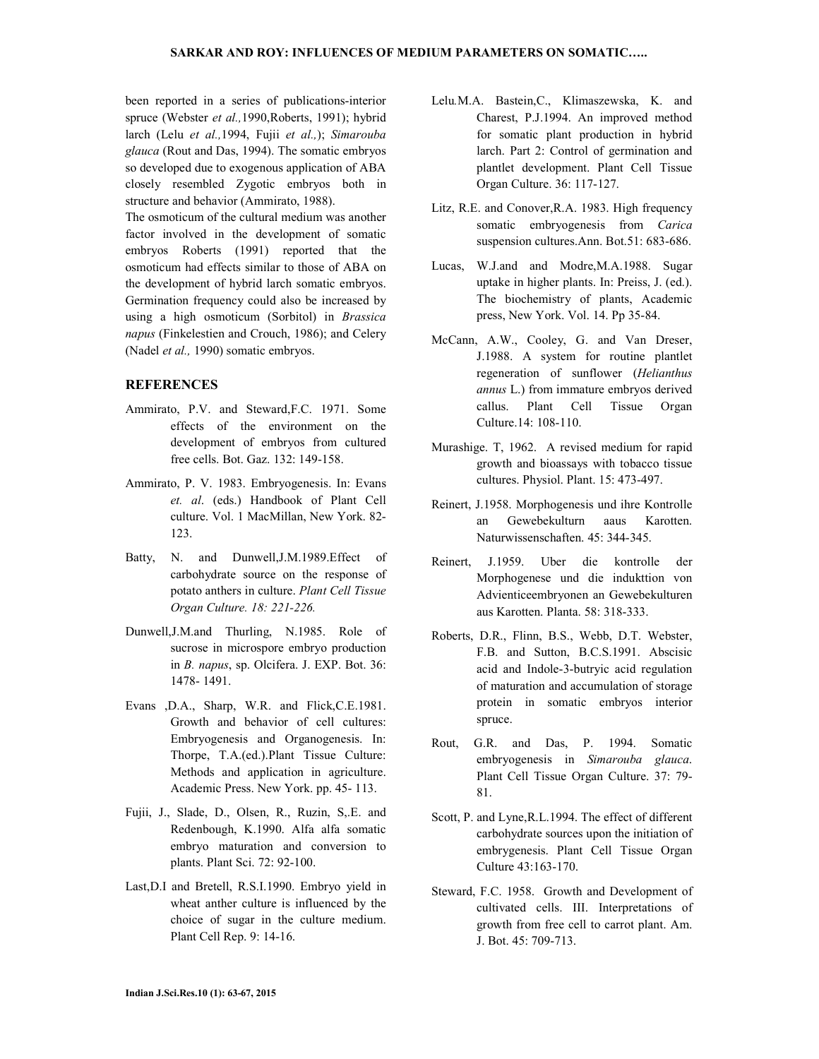been reported in a series of publications-interior spruce (Webster *et al.,*1990,Roberts, 1991); hybrid larch (Lelu *et al.,*1994, Fujii *et al.,*); *Simarouba glauca* (Rout and Das, 1994). The somatic embryos so developed due to exogenous application of ABA closely resembled Zygotic embryos both in structure and behavior (Ammirato, 1988).

The osmoticum of the cultural medium was another factor involved in the development of somatic embryos Roberts (1991) reported that the osmoticum had effects similar to those of ABA on the development of hybrid larch somatic embryos. Germination frequency could also be increased by using a high osmoticum (Sorbitol) in *Brassica napus* (Finkelestien and Crouch, 1986); and Celery (Nadel *et al.,* 1990) somatic embryos.

## **REFERENCES**

- Ammirato, P.V. and Steward,F.C. 1971. Some effects of the environment on the development of embryos from cultured free cells. Bot. Gaz. 132: 149-158.
- Ammirato, P. V. 1983. Embryogenesis. In: Evans *et. al*. (eds.) Handbook of Plant Cell culture. Vol. 1 MacMillan, New York. 82- 123.
- Batty, N. and Dunwell,J.M.1989.Effect of carbohydrate source on the response of potato anthers in culture. *Plant Cell Tissue Organ Culture. 18: 221-226.*
- Dunwell,J.M.and Thurling, N.1985. Role of sucrose in microspore embryo production in *B. napus*, sp. Olcifera. J. EXP. Bot. 36: 1478- 1491.
- Evans ,D.A., Sharp, W.R. and Flick,C.E.1981. Growth and behavior of cell cultures: Embryogenesis and Organogenesis. In: Thorpe, T.A.(ed.).Plant Tissue Culture: Methods and application in agriculture. Academic Press. New York. pp. 45- 113.
- Fujii, J., Slade, D., Olsen, R., Ruzin, S,.E. and Redenbough, K.1990. Alfa alfa somatic embryo maturation and conversion to plants. Plant Sci. 72: 92-100.
- Last,D.I and Bretell, R.S.I.1990. Embryo yield in wheat anther culture is influenced by the choice of sugar in the culture medium. Plant Cell Rep. 9: 14-16.
- Lelu*.*M.A. Bastein,C., Klimaszewska, K. and Charest, P.J.1994. An improved method for somatic plant production in hybrid larch. Part 2: Control of germination and plantlet development. Plant Cell Tissue Organ Culture. 36: 117-127.
- Litz, R.E. and Conover, R.A. 1983. High frequency somatic embryogenesis from *Carica* suspension cultures.Ann. Bot.51: 683-686.
- Lucas, W.J.and and Modre,M.A.1988. Sugar uptake in higher plants. In: Preiss, J. (ed.). The biochemistry of plants, Academic press, New York. Vol. 14. Pp 35-84.
- McCann, A.W., Cooley, G. and Van Dreser, J.1988. A system for routine plantlet regeneration of sunflower (*Helianthus annus* L.) from immature embryos derived callus. Plant Cell Tissue Organ Culture.14: 108-110.
- Murashige. T, 1962. A revised medium for rapid growth and bioassays with tobacco tissue cultures. Physiol. Plant. 15: 473-497.
- Reinert, J.1958. Morphogenesis und ihre Kontrolle an Gewebekulturn aaus Karotten. Naturwissenschaften. 45: 344-345.
- Reinert, J.1959. Uber die kontrolle der Morphogenese und die indukttion von Advienticeembryonen an Gewebekulturen aus Karotten. Planta. 58: 318-333.
- Roberts, D.R., Flinn, B.S., Webb, D.T. Webster, F.B. and Sutton, B.C.S.1991. Abscisic acid and Indole-3-butryic acid regulation of maturation and accumulation of storage protein in somatic embryos interior spruce.
- Rout, G.R. and Das, P. 1994. Somatic embryogenesis in *Simarouba glauca*. Plant Cell Tissue Organ Culture. 37: 79- 81.
- Scott, P. and Lyne,R.L.1994. The effect of different carbohydrate sources upon the initiation of embrygenesis. Plant Cell Tissue Organ Culture 43:163-170.
- Steward, F.C. 1958. Growth and Development of cultivated cells. III. Interpretations of growth from free cell to carrot plant. Am. J. Bot. 45: 709-713.